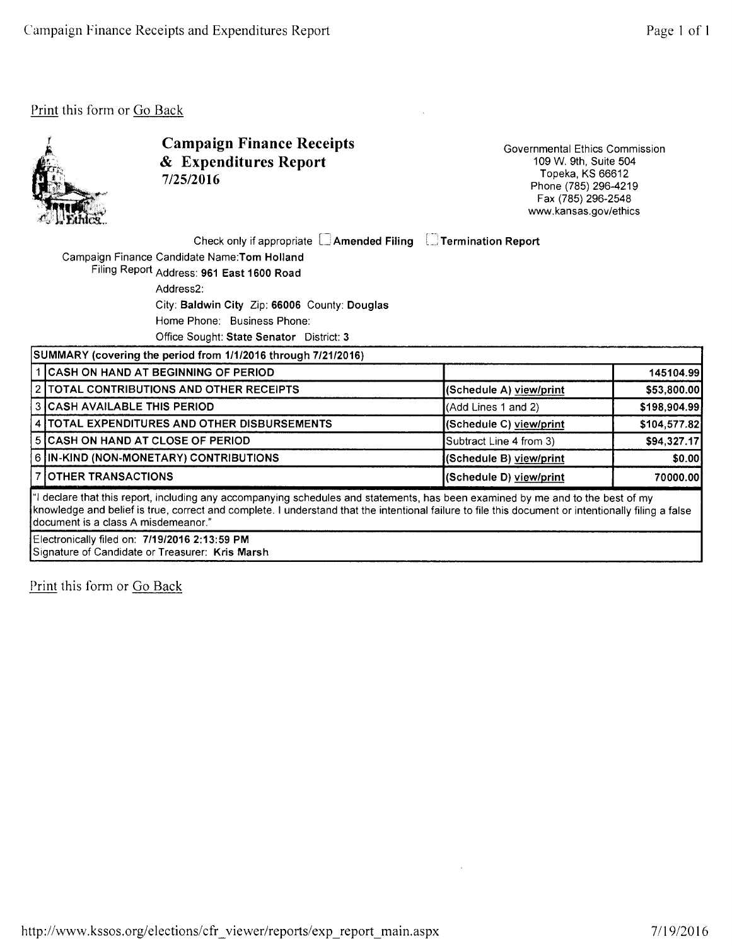

Campaign Finance Receipts & Expenditures Report 7/25/2016

Governmental Ethics Commission 109 W. 9th, Suite 504 Topeka, KS 66612 Phone (785) 296-4219 Fax (785) 296-2548 www.kansas.gov/ethics

Check only if appropriate  $\Box$  Amended Filing  $\Box$  Termination Report (

Campaign Finance Candidate Name:Tom Holland Filing Report Address: 961 East 1600 Road

Address2:

City: Baldwin City Zip: 66006 County: Douglas

Home Phone: Business Phone:

Office Sought: State Senator District: 3

| SUMMARY (covering the period from 1/1/2016 through 7/21/2016)                                                                                                                                                                                                                                                                   |                                                   |                         |              |  |
|---------------------------------------------------------------------------------------------------------------------------------------------------------------------------------------------------------------------------------------------------------------------------------------------------------------------------------|---------------------------------------------------|-------------------------|--------------|--|
|                                                                                                                                                                                                                                                                                                                                 | 1 CASH ON HAND AT BEGINNING OF PERIOD             |                         | 145104.99    |  |
|                                                                                                                                                                                                                                                                                                                                 | <b>2   TOTAL CONTRIBUTIONS AND OTHER RECEIPTS</b> | (Schedule A) view/print | \$53,800.00  |  |
|                                                                                                                                                                                                                                                                                                                                 | 3 CASH AVAILABLE THIS PERIOD                      | (Add Lines 1 and 2)     | \$198,904.99 |  |
|                                                                                                                                                                                                                                                                                                                                 | 4   TOTAL EXPENDITURES AND OTHER DISBURSEMENTS    | (Schedule C) view/print | \$104,577.82 |  |
|                                                                                                                                                                                                                                                                                                                                 | <b>5 CASH ON HAND AT CLOSE OF PERIOD</b>          | Subtract Line 4 from 3) | \$94,327.17  |  |
|                                                                                                                                                                                                                                                                                                                                 | 6 IN-KIND (NON-MONETARY) CONTRIBUTIONS            | (Schedule B) view/print | \$0.00       |  |
|                                                                                                                                                                                                                                                                                                                                 | 7 OTHER TRANSACTIONS                              | (Schedule D) view/print | 70000.00     |  |
| all declare that this report, including any accompanying schedules and statements, has been examined by me and to the best of my<br>knowledge and belief is true, correct and complete. I understand that the intentional failure to file this document or intentionally filing a false<br>Idocument is a class A misdemeanor." |                                                   |                         |              |  |

Electronically filed on: 7/19/2016 2:13:59 PM Signature of Candidate or Treasurer: Kris Marsh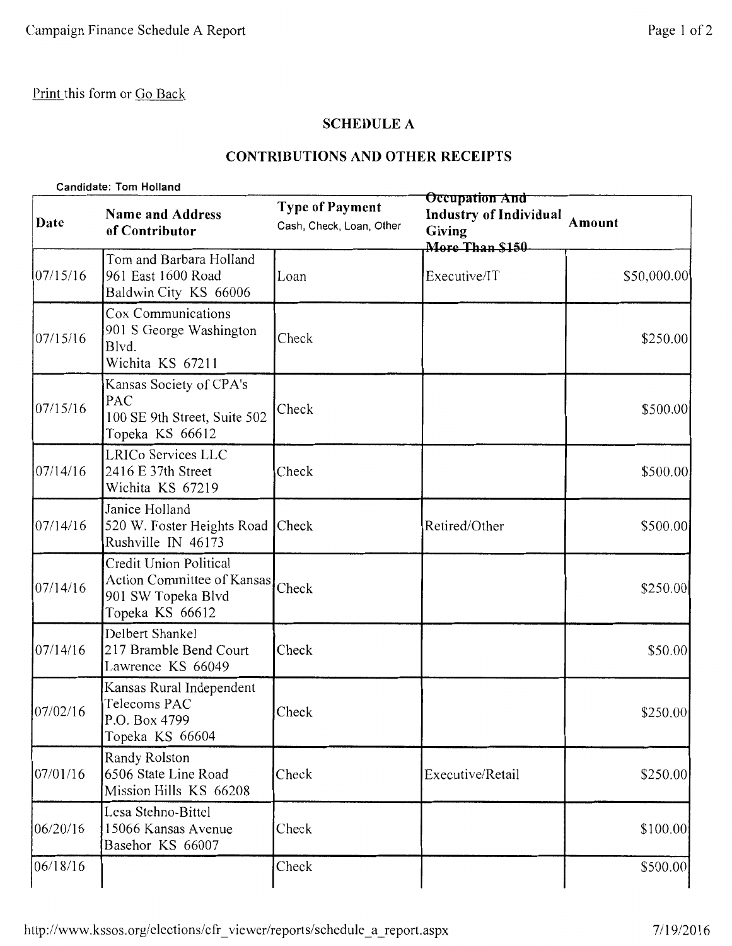## **SCHEDULE A**

### **CONTRIBUTIONS AND OTHER RECEIPTS**

|          | <b>Candidate: Tom Holland</b>                                                                 |                                                    |                                                                                     |               |  |  |
|----------|-----------------------------------------------------------------------------------------------|----------------------------------------------------|-------------------------------------------------------------------------------------|---------------|--|--|
| Date     | <b>Name and Address</b><br>of Contributor                                                     | <b>Type of Payment</b><br>Cash, Check, Loan, Other | Occupation And<br><b>Industry of Individual</b><br><b>Giving</b><br>More Than \$150 | <b>Amount</b> |  |  |
| 07/15/16 | Tom and Barbara Holland<br>961 East 1600 Road<br>Baldwin City KS 66006                        | Loan                                               | Executive/IT                                                                        | \$50,000.00   |  |  |
| 07/15/16 | Cox Communications<br>901 S George Washington<br>Blvd.<br>Wichita KS 67211                    | Check                                              |                                                                                     | \$250.00      |  |  |
| 07/15/16 | Kansas Society of CPA's<br>PAC<br>100 SE 9th Street, Suite 502<br>Topeka KS 66612             | Check                                              |                                                                                     | \$500.00      |  |  |
| 07/14/16 | LRICo Services LLC<br>2416 E 37th Street<br>Wichita KS 67219                                  | Check                                              |                                                                                     | \$500.00      |  |  |
| 07/14/16 | Janice Holland<br>520 W. Foster Heights Road<br>Rushville IN 46173                            | Check                                              | Retired/Other                                                                       | \$500.00      |  |  |
| 07/14/16 | Credit Union Political<br>Action Committee of Kansas<br>901 SW Topeka Blvd<br>Topeka KS 66612 | Check                                              |                                                                                     | \$250.00      |  |  |
| 07/14/16 | Delbert Shankel<br>217 Bramble Bend Court<br>Lawrence KS 66049                                | Check                                              |                                                                                     | \$50.00       |  |  |
| 07/02/16 | Kansas Rural Independent<br>Telecoms PAC<br>P.O. Box 4799<br>Topeka KS 66604                  | Check                                              |                                                                                     | \$250.00      |  |  |
| 07/01/16 | Randy Rolston<br>6506 State Line Road<br>Mission Hills KS 66208                               | Check                                              | Executive/Retail                                                                    | \$250.00      |  |  |
| 06/20/16 | Lesa Stehno-Bittel<br>15066 Kansas Avenue<br>Basehor KS 66007                                 | Check                                              |                                                                                     | \$100.00      |  |  |
| 06/18/16 |                                                                                               | Check                                              |                                                                                     | \$500.00      |  |  |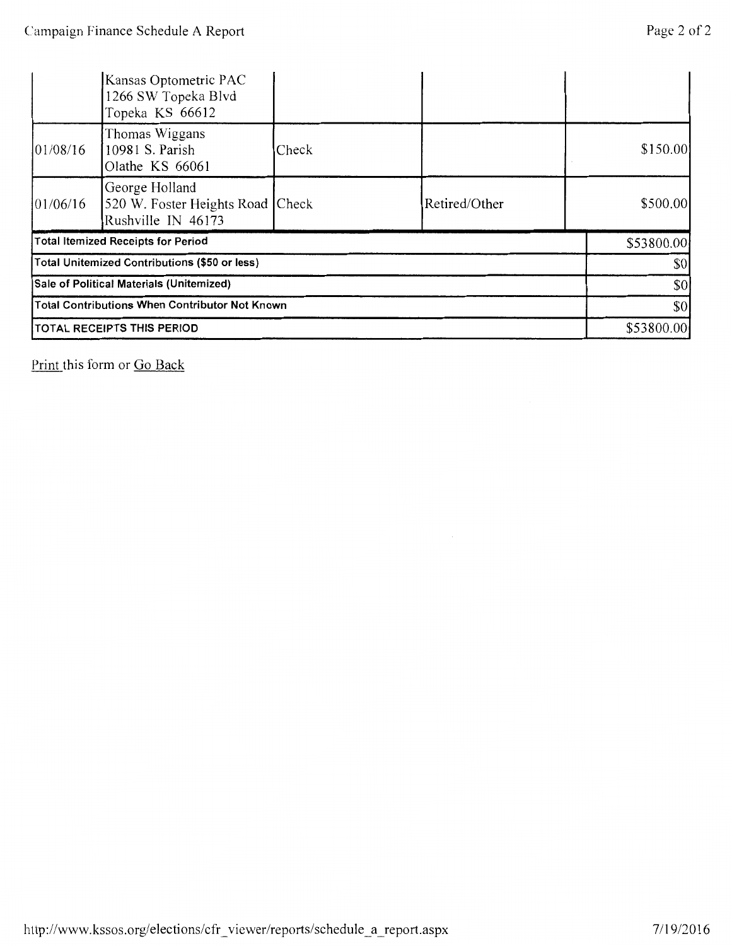|                                                       | Kansas Optometric PAC<br>1266 SW Topeka Blvd<br>Topeka KS 66612          |       |               |            |          |  |
|-------------------------------------------------------|--------------------------------------------------------------------------|-------|---------------|------------|----------|--|
| 01/08/16                                              | Thomas Wiggans<br>10981 S. Parish<br>Olathe KS 66061                     | Check |               |            | \$150.00 |  |
| 01/06/16                                              | George Holland<br>520 W. Foster Heights Road Check<br>Rushville IN 46173 |       | Retired/Other |            | \$500.00 |  |
| <b>Total Itemized Receipts for Period</b>             |                                                                          |       | \$53800.00    |            |          |  |
| Total Unitemized Contributions (\$50 or less)         |                                                                          |       |               | \$0        |          |  |
| Sale of Political Materials (Unitemized)              |                                                                          |       | \$0           |            |          |  |
| <b>Total Contributions When Contributor Not Known</b> |                                                                          |       | \$0           |            |          |  |
| TOTAL RECEIPTS THIS PERIOD                            |                                                                          |       |               | \$53800.00 |          |  |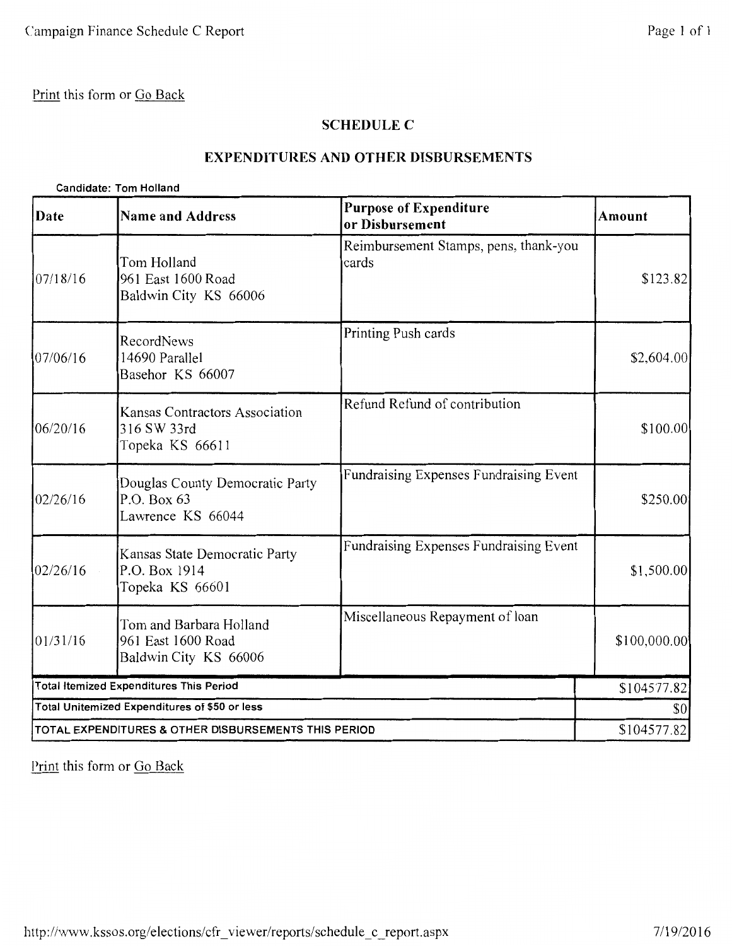#### **SCHEDULE C**

#### **EXPENDITURES AND OTHER DISBURSEMENTS**

#### **Candidate: Tom Holland**

| Date                                                 | <b>Name and Address</b>                                                | <b>Purpose of Expenditure</b><br>or Disbursement | <b>Amount</b>                       |
|------------------------------------------------------|------------------------------------------------------------------------|--------------------------------------------------|-------------------------------------|
| 07/18/16                                             | Tom Holland<br>961 East 1600 Road<br>Baldwin City KS 66006             | Reimbursement Stamps, pens, thank-you<br>cards   | \$123.82                            |
| 07/06/16                                             | RecordNews<br>14690 Parallel<br>Basehor KS 66007                       | Printing Push cards                              | \$2,604.00]                         |
| 06/20/16                                             | Kansas Contractors Association<br>316 SW 33rd<br>Topeka KS 66611       | Refund Refund of contribution                    | \$100.00                            |
| 02/26/16                                             | Douglas County Democratic Party<br>P.O. Box 63<br>Lawrence KS 66044    | Fundraising Expenses Fundraising Event           | \$250.00                            |
| 02/26/16                                             | Kansas State Democratic Party<br>P.O. Box 1914<br>Topeka KS 66601      | Fundraising Expenses Fundraising Event           | \$1,500.00                          |
| 01/31/16                                             | Tom and Barbara Holland<br>961 East 1600 Road<br>Baldwin City KS 66006 | Miscellaneous Repayment of loan                  | \$100,000.00                        |
|                                                      | <b>Total Itemized Expenditures This Period</b>                         |                                                  | \$104577.82                         |
| Total Unitemized Expenditures of \$50 or less        |                                                                        |                                                  | $\vert \mathbf{S} \mathbf{O} \vert$ |
| TOTAL EXPENDITURES & OTHER DISBURSEMENTS THIS PERIOD | \$104577.82                                                            |                                                  |                                     |